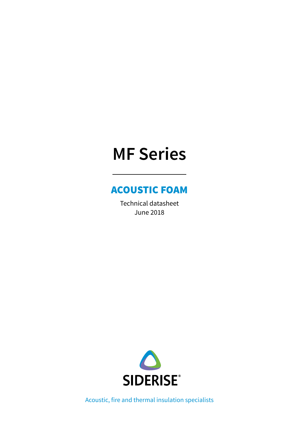# **MF Series**

### ACOUSTIC FOAM

Technical datasheet June 2018



Acoustic, fire and thermal insulation specialists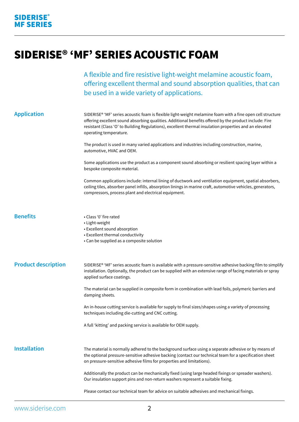## SIDERISE® 'MF' SERIES ACOUSTIC FOAM

A flexible and fire resistive light-weight melamine acoustic foam, offering excellent thermal and sound absorption qualities, that can be used in a wide variety of applications.

| <b>Application</b>         | SIDERISE® 'MF' series acoustic foam is flexible light-weight melamine foam with a fine open cell structure<br>offering excellent sound absorbing qualities. Additional benefits offered by the product include: Fire<br>resistant (Class 'O' to Building Regulations), excellent thermal insulation properties and an elevated<br>operating temperature. |
|----------------------------|----------------------------------------------------------------------------------------------------------------------------------------------------------------------------------------------------------------------------------------------------------------------------------------------------------------------------------------------------------|
|                            | The product is used in many varied applications and industries including construction, marine,<br>automotive, HVAC and OEM.                                                                                                                                                                                                                              |
|                            | Some applications use the product as a component sound absorbing or resilient spacing layer within a<br>bespoke composite material.                                                                                                                                                                                                                      |
|                            | Common applications include: internal lining of ductwork and ventilation equipment, spatial absorbers,<br>ceiling tiles, absorber panel infills, absorption linings in marine craft, automotive vehicles, generators,<br>compressors, process plant and electrical equipment.                                                                            |
| <b>Benefits</b>            | • Class '0' fire rated<br>• Light-weight<br>• Excellent sound absorption<br>• Excellent thermal conductivity<br>• Can be supplied as a composite solution                                                                                                                                                                                                |
| <b>Product description</b> | SIDERISE® 'MF' series acoustic foam is available with a pressure-sensitive adhesive backing film to simplify<br>installation. Optionally, the product can be supplied with an extensive range of facing materials or spray<br>applied surface coatings.                                                                                                  |
|                            | The material can be supplied in composite form in combination with lead foils, polymeric barriers and<br>damping sheets.                                                                                                                                                                                                                                 |
|                            | An in-house cutting service is available for supply to final sizes/shapes using a variety of processing<br>techniques including die-cutting and CNC cutting.                                                                                                                                                                                             |
|                            | A full 'kitting' and packing service is available for OEM supply.                                                                                                                                                                                                                                                                                        |
| <b>Installation</b>        | The material is normally adhered to the background surface using a separate adhesive or by means of<br>the optional pressure-sensitive adhesive backing (contact our technical team for a specification sheet<br>on pressure-sensitive adhesive films for properties and limitations).                                                                   |
|                            | Additionally the product can be mechanically fixed (using large headed fixings or spreader washers).<br>Our insulation support pins and non-return washers represent a suitable fixing.                                                                                                                                                                  |
|                            | Please contact our technical team for advice on suitable adhesives and mechanical fixings.                                                                                                                                                                                                                                                               |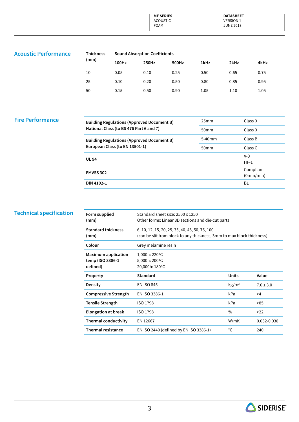**MF SERIES** ACOUSTIC FOAM

**DATASHEET**  VERSION 1 JUNE 2018

#### **Acoustic Performance**

| <b>Thickness</b><br>(mm) | <b>Sound Absorption Coefficients</b> |       |       |      |      |      |  |
|--------------------------|--------------------------------------|-------|-------|------|------|------|--|
|                          | 100Hz                                | 250Hz | 500Hz | 1kHz | 2kHz | 4kHz |  |
| 10                       | 0.05                                 | 0.10  | 0.25  | 0.50 | 0.65 | 0.75 |  |
| 25                       | 0.10                                 | 0.20  | 0.50  | 0.80 | 0.85 | 0.95 |  |
| 50                       | 0.15                                 | 0.50  | 0.90  | 1.05 | 1.10 | 1.05 |  |

#### **Fire Performance**

| <b>Building Regulations (Approved Document B)</b> | 25 <sub>mm</sub> | Class <sub>0</sub> |
|---------------------------------------------------|------------------|--------------------|
| National Class (to BS 476 Part 6 and 7)           | 50 <sub>mm</sub> | Class <sub>0</sub> |
| <b>Building Regulations (Approved Document B)</b> | $5-40$ mm        | Class B            |
| European Class (to EN 13501-1)                    | 50 <sub>mm</sub> | Class C            |
| <b>UL 94</b>                                      |                  | $V-0$              |
|                                                   |                  | $HF-1$             |
| <b>FMVSS 302</b>                                  |                  | Compliant          |
|                                                   |                  | (0mm/min)          |
| DIN 4102-1                                        |                  | B1                 |

#### **Technical specification**

| Form supplied<br>(mm)                                      | Standard sheet size: 2500 x 1250<br>Other forms: Linear 3D sections and die-cut parts                                   |                   |               |
|------------------------------------------------------------|-------------------------------------------------------------------------------------------------------------------------|-------------------|---------------|
| <b>Standard thickness</b><br>(mm)                          | 6, 10, 12, 15, 20, 25, 35, 40, 45, 50, 75, 100<br>(can be slit from block to any thickness, 3mm to max block thickness) |                   |               |
| Colour                                                     | Grey melamine resin                                                                                                     |                   |               |
| <b>Maximum application</b><br>temp (ISO 3386-1<br>defined) | 1,000h: 220°C<br>5,000h: 200°C<br>20,000h: 180°C                                                                        |                   |               |
| Property                                                   | Standard                                                                                                                | <b>Units</b>      | Value         |
| Density                                                    | <b>EN ISO 845</b>                                                                                                       | kg/m <sup>3</sup> | $7.0 \pm 3.0$ |
| <b>Compressive Strength</b>                                | EN ISO 3386-1                                                                                                           | kPa               | >4            |
| <b>Tensile Strength</b>                                    | ISO 1798                                                                                                                | kPa               | >85           |
| <b>Elongation at break</b>                                 | <b>ISO 1798</b>                                                                                                         | $\%$              | >22           |
| <b>Thermal conductivity</b>                                | EN 12667                                                                                                                | W/mK              | 0.032-0.038   |
| <b>Thermal resistance</b>                                  | EN ISO 2440 (defined by EN ISO 3386-1)                                                                                  | °C                | 240           |